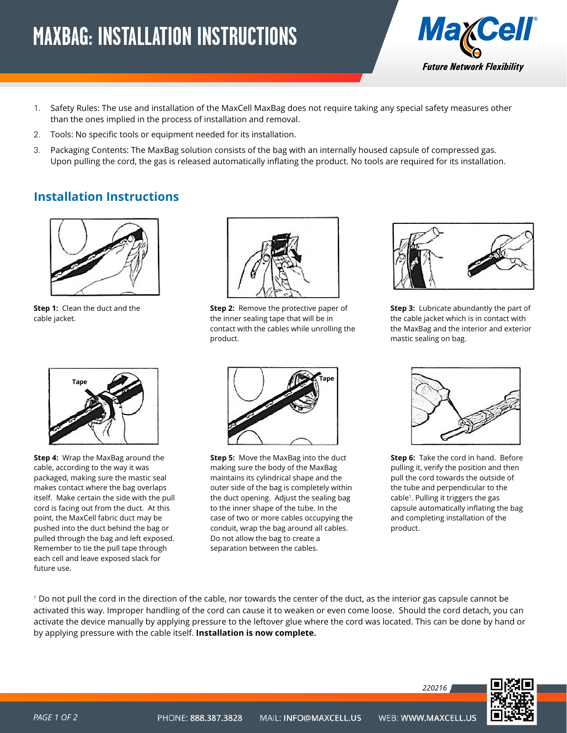# <span id="page-0-0"></span>**MAXBAG: INSTALLATION INSTRUCTIONS**



- 1. Safety Rules: The use and installation of the MaxCell MaxBag does not require taking any special safety measures other than the ones implied in the process of installation and removal.
- 2. Tools: No specific tools or equipment needed for its installation.
- 3. Packaging Contents: The MaxBag solution consists of the bag with an internally housed capsule of compressed gas. Upon pulling the cord, the gas is released automatically inflating the product. No tools are required for its installation.

### **Installation Instructions**



**Step 1:** Clean the duct and the cable jacket.



**Step 4:** Wrap the MaxBag around the cable, according to the way it was packaged, making sure the mastic seal makes contact where the bag overlaps itself. Make certain the side with the pull cord is facing out from the duct. At this point, the MaxCell fabric duct may be pushed into the duct behind the bag or pulled through the bag and left exposed. Remember to tie the pull tape through each cell and leave exposed slack for future use.



**Step 2:** Remove the protective paper of the inner sealing tape that will be in contact with the cables while unrolling the product.



**Step 5:** Move the MaxBag into the duct making sure the body of the MaxBag maintains its cylindrical shape and the outer side of the bag is completely within the duct opening. Adjust the sealing bag to the inner shape of the tube. In the case of two or more cables occupying the conduit, wrap the bag around all cables. Do not allow the bag to create a separation between the cables.



**Step 3:** Lubricate abundantly the part of the cable jacket which is in contact with the MaxBag and the interior and exterior mastic sealing on bag.



**Step 6:** Take the cord in hand. Before pulling it, verify the position and then pull the cord towards the outside of the tube and perpendicular to the cable<sup>1</sup> . Pulling it triggers the gas capsule automatically inflating the bag and completing installation of the product.

 $^{\rm 1}$  Do not pull the cord in the direction of the cable, nor towards the center of the duct, as the interior gas capsule cannot be activated this way. Improper handling of the cord can cause it to weaken or even come loose. Should the cord detach, you can activate the device manually by applying pressure to the leftover glue where the cord was located. This can be done by hand or by applying pressure with the cable itself. **Installation is now complete.**